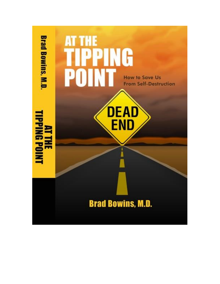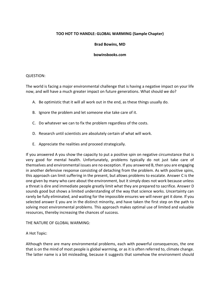# **TOO HOT TO HANDLE: GLOBAL WARMING (Sample Chapter)**

# **Brad Bowins, MD**

## **bowinsbooks.com**

# QUESTION:

The world is facing a major environmental challenge that is having a negative impact on your life now, and will have a much greater impact on future generations. What should we do?

- A. Be optimistic that it will all work out in the end, as these things usually do.
- B. Ignore the problem and let someone else take care of it.
- C. Do whatever we can to fix the problem regardless of the costs.
- D. Research until scientists are absolutely certain of what will work.
- E. Appreciate the realities and proceed strategically.

If you answered A you show the capacity to put a positive spin on negative circumstance that is very good for mental health. Unfortunately, problems typically do not just take care of themselves and environmental issues are no exception. If you answered B, then you are engaging in another defensive response consisting of detaching from the problem. As with positive spins, this approach can limit suffering in the present, but allows problems to escalate. Answer C is the one given by many who care about the environment, but it simply does not work because unless a threat is dire and immediate people greatly limit what they are prepared to sacrifice. Answer D sounds good but shows a limited understanding of the way that science works. Uncertainty can rarely be fully eliminated, and waiting for the impossible ensures we will never get it done. If you selected answer E you are in the distinct minority, and have taken the first step on the path to solving most environmental problems. This approach makes optimal use of limited and valuable resources, thereby increasing the chances of success.

# THE NATURE OF GLOBAL WARMING:

# A Hot Topic:

Although there are many environmental problems, each with powerful consequences, the one that is on the mind of most people is global warming, or as it is often referred to, climate change. The latter name is a bit misleading, because it suggests that somehow the environment should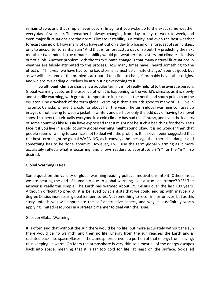remain stable, and that simply never occurs. Imagine if you woke up to the exact same weather every day of your life. The weather is always changing from day-to-day, or week-to-week, and even major fluctuations are the norm. Climate instability is a reality, and even the best weather forecast can go off. How many of us have set out on a day trip based on a forecast of sunny skies, only to encounter torrential rain? And that is for forecasts a day or so out. Try predicting the next month or two. Indeed, true climate stability would put weather forecasters and climate scientists out of a job. Another problem with the term climate change is that many natural fluctuations in weather are falsely attributed to this process. How many times have I heard something to the effect of, "This year we have had some bad storms, it must be climate change." Sounds good, but as we will see some of the problems attributed to "climate change" probably have other origins, and we are misleading ourselves by attributing everything to it.

So although climate change is a popular term it is not really helpful to the average person. Global warming captures the essence of what is happening to the world's climate, as it is slowly and steadily warming, with greater temperature increases at the north and south poles than the equator. One drawback of the term global warming is that it sounds good to many of us. I live in Toronto, Canada, where it is cold for about half the year. The term global warming conjures up images of not having to wear a jacket in winter, and perhaps only the odd day of having to shovel snow. I suspect that virtually everyone in a cold climate has had this fantasy, and even the leaders of some countries like Russia have expressed that it might not be such a bad thing for them. Let's face it if you live in a cold country global warming might sound okay. It is no wonder then that people seem unwilling to sacrifice a lot to deal with the problem. It has even been suggested that the best term might be global WARNING, as it conveys the message that there is a danger and something has to be done about it. However, I will use the term global warming as it more accurately reflects what is occurring, and allows readers to substitute an "n" for the "m" if so desired.

### Global Warming Is Real:

Some question the validity of global warming reading political motivations into it. Others insist we are nearing the end of humanity due to global warming. Is it a true occurrence? YES! The answer is really this simple. The Earth has warmed about .75 Celsius over the last 100 years. Although difficult to predict, it is believed by scientists that we could end up with maybe a 3 degree Celsius increase in global temperatures. Not something to recoil in horror over, but as this story unfolds you will appreciate the self-destructive aspect, and why it is definitely worth applying limited resources in a strategic manner to deal with the issue.

### Gases & Global Warming:

It is often said that without the sun there would be no life, but more accurately without the sun there would be no warmth, and then no life. Energy from the sun reaches the Earth and is radiated back into space. Gases in the atmosphere prevent a portion of that energy from leaving, thus keeping us warm. On Mars the atmosphere is very thin so almost all of the energy escapes back into space, meaning that it is far too cold for life, at least on the surface. So-called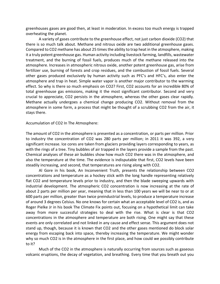greenhouses gases are good then, at least in moderation. In excess too much energy is trapped overheating the planet.

A variety of gases contribute to the greenhouse effect, not just carbon dioxide (CO2) that there is so much talk about. Methane and nitrous oxide are two additional greenhouse gases. Compared to CO2 methane has about 25 times the ability to trap heat in the atmosphere, making it a truly potent greenhouse gas. Human activity including livestock farming, landfills, wastewater treatment, and the burning of fossil fuels, produces much of the methane released into the atmosphere. Increases in atmospheric nitrous oxide, another potent greenhouse gas, arise from fertilizer use, burning of forests and crop residues, and the combustion of fossil fuels. Several other gases produced exclusively by human activity such as PFC's and HFC's, also enter the atmosphere and trap in heat. Simple water vapor is another major contributor to the warming effect. So why is there so much emphasis on CO2? First, CO2 accounts for an incredible 80% of total greenhouse gas emissions, making it the most significant contributor. Second and very crucial to appreciate, CO2 persists in the atmosphere, whereas the other gases clear rapidly. Methane actually undergoes a chemical change producing CO2. Without removal from the atmosphere in some form, a process that might be thought of a scrubbing CO2 from the air, it stays there.

### Accumulation of CO2 In The Atmosphere:

The amount of CO2 in the atmosphere is presented as a concentration, or parts per million. Prior to industry the concentration of CO2 was 280 parts per million; in 2011 it was 392, a very significant increase. Ice cores are taken from glaciers providing layers corresponding to years, as with the rings of a tree. Tiny bubbles of air trapped in the layers provide a sample from the past. Chemical analyses of these air bubbles show how much CO2 there was in the atmosphere, and also the temperature at the time. The evidence is indisputable that first, CO2 levels have been steadily increasing, and second, that temperatures are rising along with CO2.

Al Gore in his book, An Inconvenient Truth, presents the relationship between CO2 concentrations and temperature as a hockey stick with the long handle representing relatively flat CO2 and temperature levels prior to industry, and then the blade sweeping upwards with industrial development. The atmospheric CO2 concentration is now increasing at the rate of about 2 parts per million per year, meaning that in less than 100 years we will be near to or at 600 parts per million, greater than twice preindustrial levels, to produce a temperature increase of around 3 degrees Celsius. No one knows for certain what an acceptable level of CO2 is, and as Roger Pielke Jr in his book The Climate Fix points out, focusing on a hypothetical limit can take away from more successful strategies to deal with the rise. What is clear is that CO2 concentrations in the atmosphere and temperature are both rising. One might say that these events are only correlated and not linked in any cause and effect sense. This argument does not stand up, though, because it is known that CO2 and the other gases mentioned do block solar energy from escaping back into space, thereby increasing the temperature. We might wonder why so much CO2 is in the atmosphere in the first place, and how could we possibly contribute to it?

Much of the CO2 in the atmosphere is naturally occurring from sources such as gaseous volcanic eruptions, the decay of vegetation, and breathing. Every time that you breath out you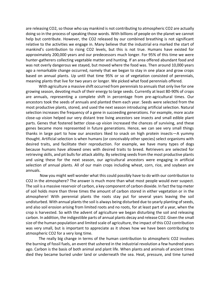are releasing CO2, so those who say mankind is not contributing to atmospheric CO2 are actually doing so in the process of speaking those words. With billions of people on the planet we cannot help but contribute. However, the CO2 released by our combined breathing is not significant relative to the activities we engage in. Many believe that the industrial era marked the start of mankind's contribution to rising CO2 levels, but this is not true. Humans have existed for approximately 200,000 years and our predecessors much longer. For 95% of this time we were hunter-gatherers collecting vegetable matter and hunting. If an area offered abundant food and was not overly dangerous we stayed, but moved where the food was. Then around 10,000 years ago a remarkable change occurred, namely that we began to stay in one place and grow crops based on annual plants. Up until that time 95% or so of vegetation consisted of perennials, meaning plants that live for two years or longer. We picked what food perennials offered.

With agriculture a massive shift occurred from perennials to annuals that only live for one growing season, devoting much of their energy to large seeds. Currently at least 80-90% of crops are annuals, representing a complete shift in percentage from pre-agricultural times. Our ancestors took the seeds of annuals and planted them each year. Seeds were selected from the most productive plants, stored, and used the next season introducing artificial selection. Natural selection increases the frequency of a gene in succeeding generations. For example, more acute close-up vision helped our very distant tree living ancestors see insects and small edible plant parts. Genes that fostered better close-up vision increased the chances of surviving, and these genes became more represented in future generations. Hence, we can see very small things thanks in large part to how our ancestors liked to snack on high protein insects—A yummy thought. Artificial selection is when humans (or conceivably other species) select organisms with desired traits, and facilitate their reproduction. For example, we have many types of dogs because humans have allowed ones with desired traits to breed. Retrievers are selected for retrieving skills, and pit bulls for attack ability. By selecting seeds from the most productive plants and using these for the next season, our agricultural ancestors were engaging in artificial selection of annual plants. All of our main crops including wheat, corn, rice, and soybean are annuals.

Now you might well wonder what this could possibly have to do with our contribution to CO2 in the atmosphere? The answer is much more than what most people would ever suspect. The soil is a massive reservoir of carbon, a key component of carbon dioxide. In fact the top meter of soil holds more than three times the amount of carbon stored in either vegetation or in the atmosphere! With perennial plants the roots stay put for several years leaving the soil undisturbed. With annual plants the soil is always being disturbed due to yearly planting of seeds, and also soil erosion arising from limited roots and no roots, for at least part of a year, when the crop is harvested. So with the advent of agriculture we began disturbing the soil and releasing carbon. In addition, the indigestible parts of annual plants decay and release CO2. Given the small size of the human population and limited scale of agriculture, the impact of this CO2 contribution was very small, but is important to appreciate as it shows how we have been contributing to atmospheric CO2 for a very long time.

The really big change in terms of the human contribution to atmospheric CO2 involves the burning of fossil fuels, an event that ushered in the industrial revolution a few hundred years ago. Carbon is the basis of both animal and plant life. When plants and animals of ancient times died they became buried under land or underneath the sea. Heat, pressure, and time turned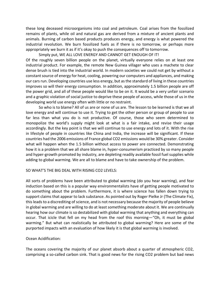these long deceased microorganisms into coal and petroleum. Coal arises from the fossilized remains of plants, while oil and natural gas are derived from a mixture of ancient plants and animals. Burning of carbon based products produces energy, and energy is what powered the industrial revolution. We burn fossilized fuels as if there is no tomorrow, or perhaps more appropriately we burn it as if it's okay to push the consequences off to tomorrow.

Simply put, WE ALL LOVE ENERGY AND CANNOT GET ENOUGH OF IT! Of the roughly seven billion people on the planet, virtually everyone relies on at least one industrial product. For example, the remote New Guinea villager who uses a machete to clear dense brush is tied into the industrial world. In modern societies we could not get by without a constant source of energy for heat, cooling, powering our computers and appliances, and making our cars run. Developing countries use less energy, but as the standard of living in these countries improves so will their energy consumption. In addition, approximately 1.5 billion people are off the power grid, and all of these people would like to be on it. It would be a very unfair scenario and a graphic violation of social justice to deprive these people of access, while those of us in the developing world use energy often with little or no restraint.

So who is to blame? All of us are or none of us are. The lesson to be learned is that we all love energy and will continue to use it. Trying to get the other person or group of people to use far less than what you do is not productive. Of course, those who seem determined to monopolize the world's supply might look at what is a fair intake, and revise their usage accordingly. But the key point is that we will continue to use energy and lots of it. With the rise in lifestyle of people in countries like China and India, the increase will be significant. If these countries had the 2006 emissions of France global CO2 emissions would be 30% greater. Consider what will happen when the 1.5 billion without access to power are connected. Demonstrating how it is a problem that we all share blame in, hyper-consumerism practiced by so many people and hyper-growth promoted by industry, are depleting readily available fossil fuel supplies while adding to global warming. We are all to blame and have to take ownership of the problem.

# SO WHAT'S THE BIG DEAL WITH RISING CO2 LEVELS:

All sorts of problems have been attributed to global warming (do you hear warning), and fear induction based on this is a popular way environmentalists have of getting people motivated to do something about the problem. Furthermore, it is where science has fallen down trying to support claims that appear to lack substance. As pointed out by Roger Pielke Jr (The Climate Fix), this leads to a discrediting of science, and is not necessary because the majority of people believe in global warming and are willing to do at least something moderate about it. We are continually hearing how our climate is so destabilized with global warming that anything and everything can occur. That icicle that fell on my head from the roof this morning—"Oh, it must be global warming." But what can realistically be attributed to global warming? Here are some of the purported impacts with an evaluation of how likely it is that global warming is involved.

# Ocean Acidification:

The oceans covering the majority of our planet absorb about a quarter of atmospheric CO2, comprising a so-called carbon sink. That is good news for the rising CO2 problem but bad news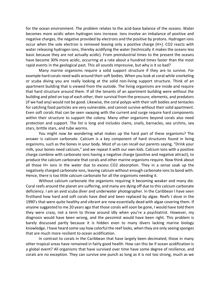for the ocean environment. The problem relates to the acid-base balance of the oceans. Water becomes more acidic when hydrogen ions increase. Ions involve an imbalance of positive and negative charges, the negative provided by electrons and the positive by protons. Hydrogen ions occur when the sole electron is removed leaving only a positive charge (H+). CO2 reacts with water releasing hydrogen ions, thereby acidifying the water (technically it makes the oceans less basic because they are not actually acidic). From preindustrial times to the present the oceans have become 30% more acidic, occurring at a rate about a hundred times faster than the most rapid events in the geological past. This all sounds impressive, but why is it so bad?

Many marine organisms require a solid support structure if they are to survive. For example hard corals need walls around their soft bodies. When you look at coral while snorkeling or scuba diving you are really looking at the solid non-living support structure. Think of an apartment building that is viewed from the outside. The living organisms are inside and require that hard structure around them. If all the tenants of an apartment building were without the building and piled on top of each other, their survival from the pressure, elements, and predators (if we had any) would not be good. Likewise, the coral polyps with their soft bodies and tentacles for catching food particles are very vulnerable, and cannot survive without their solid apartment. Even soft corals that can be seen swaying with the current and surge require hard components within their structure to support the colony. Many other organisms beyond corals also need protection and support. The list is long and includes clams, snails, barnacles, sea urchins, sea stars, brittle stars, and tube worms.

You might now be wondering what makes up the hard part of these organisms? The answer is calcium carbonate. Calcium is a key component of hard structures found in living organisms, such as the bones in your body. Most of us can recall our parents saying, "Drink your milk, your bones need calcium," and we repeat it with our own kids. Calcium ions with a positive charge combine with carbonate ions having a negative charge (positive and negative attract), to produce the calcium carbonate that corals and other marine organisms require. Now think about all those H+ ions in the water due to excess CO2 absorption. They in a sense soak up the negatively charged carbonate ions, leaving calcium without enough carbonate ions to bond with. Hence, there is too little calcium carbonate for all the organisms needing it.

Without calcium carbonate the organisms requiring it becoming weaker and many die. Coral reefs around the planet are suffering, and many are dying off due to this calcium carbonate deficiency. I am an avid scuba diver and underwater photographer. In the Caribbean I have seen firsthand how hard and soft corals have died and been replaced by algae. Reefs I dove in the 1990's that were quite healthy and vibrant are now essentially dead with algae covering them. If anyone suggested to me 20 years ago that those corals will soon be gone, I would have told them they were crazy, not a term to throw around idly when you're a psychiatrist. However, my diagnosis would have been wrong, and the pessimist would have been right. This problem is barely discussed partly because it is hidden even to many divers lacking marine biology knowledge. I have heard some say how colorful the reef looks, when they are only seeing sponges that are much more resilient to ocean acidification.

In contrast to corals in the Caribbean that have largely been decimated, those in many other tropical areas have remained in fairly good health. How can this be if ocean acidification is a global event? All organisms that have survived over time have some degree of resilience, and corals are no exception. They can survive one punch as long as it is not too strong, much as we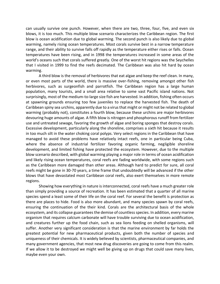can usually survive one punch. However, when there are two, three, four, five, and even six blows, it is too much. This multiple blow scenario characterizes the Caribbean region. The first blow is ocean acidification due to global warming. The second punch is also likely due to global warming, namely rising ocean temperatures. Most corals survive best in a narrow temperature range, and their ability to survive falls off rapidly as the temperature either rises or falls. Ocean temperatures have been rising, and in 1998 the temperatures increased in some areas of the world's oceans such that corals suffered greatly. One of the worst hit regions was the Seychelles that I visited in 1999 to find the reefs decimated. The Caribbean was also hit hard by ocean warming.

A third blow is the removal of herbivores that eat algae and keep the reef clean. In many, or even most parts of the world, there is massive over-fishing, removing amongst other fish herbivores, such as surgeonfish and parrotfish. The Caribbean region has a large human population, many tourists, and a small area relative to some vast Pacific island nations. Not surprisingly, most of the medium-to-large size fish are harvested. In addition, fishing often occurs at spawning grounds ensuring too few juveniles to replace the harvested fish. The death of Caribbean spiny sea urchins, apparently due to a virus that might or might not be related to global warming (probably not), constitutes a fourth blow, because these urchins are major herbivores devouring huge amounts of algae. A fifth blow is nitrogen and phosphorous runoff from fertilizer use and untreated sewage, favoring the growth of algae and boring sponges that destroy corals. Excessive development, particularly along the shoreline, comprises a sixth hit because it results in too much silt in the water choking coral polyps. Very select regions in the Caribbean that have managed to avoid these problems have relatively intact reefs, one in particular being Cuba, where the absence of industrial fertilizer favoring organic farming, negligible shoreline development, and limited fishing have protected the ecosystem. However, due to the multiple blow scenario described, with global warming playing a major role in terms of ocean acidification and likely rising ocean temperatures, coral reefs are fading worldwide, with some regions such as the Caribbean more damaged than other areas. Although hard to predict for sure, all coral reefs might be gone in 30-70 years, a time frame that undoubtedly will be advanced if the other blows that have devastated most Caribbean coral reefs, also exert themselves in more remote regions.

Showing how everything in nature is interconnected, coral reefs have a much greater role than simply providing a source of recreation. It has been estimated that a quarter of all marine species spend a least some of their life on the coral reef. For several the benefit is protection as there are places to hide. Food is also more abundant, and many species spawn by coral reefs, ensuring the continuation of the their kind. Corals are the architectural basis of the whole ecosystem, and its collapse guarantees the demise of countless species. In addition, every marine organism that requires calcium carbonate will have trouble surviving due to ocean acidification, and creatures further up the food chain, such as sea lions feeding on shelled organisms, will suffer. Another very significant consideration is that the marine environment by far holds the greatest potential for new pharmaceutical products, given both the number of species and uniqueness of their chemicals. It is widely believed by scientists, pharmaceutical companies, and many government agencies, that most new drug discoveries are going to come from this realm. If we allow it to be destroyed we might well be giving up on drugs that could save many lives, maybe even your own.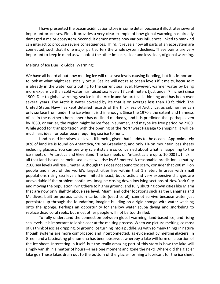I have presented the ocean acidification story in some detail because it illustrates several important processes. First, it provides a very clear example of how global warming has already damaged a major ecosystem. Second, it demonstrates how various influences linked to mankind can interact to produce severe consequences. Third, it reveals how all parts of an ecosystem are connected, such that if one major part suffers the whole system declines. These points are very important to keep in mind as we look at the other impacts, clear and less clear, of global warming.

#### Melting of Ice Due To Global Warming:

We have all heard about how melting ice will raise sea levels causing flooding, but it is important to look at what might realistically occur. Sea ice will not raise ocean levels if it melts, because it is already in the water contributing to the current sea level. However, warmer water by being more expansive than cold water has raised sea levels 17 centimeters (just under 7 inches) since 1900. Due to global warming, sea ice in the Arctic and Antarctica is thinning and has been over several years. The Arctic is water covered by ice that is on average less than 10 ft. thick. The United States Navy has kept detailed records of the thickness of Arctic ice, as submarines can only surface from under the ice when it is thin enough. Since the 1970's the extent and thinness of ice in the northern hemisphere has declined markedly, and it is predicted that perhaps even by 2050, or earlier, the region might be ice free in summer, and maybe ice free period by 2100. While good for transportation with the opening of the Northwest Passage to shipping, it will be much less ideal for polar bears requiring sea ice to hunt.

Land-based ice raises sea levels if it melts, given that it adds to the oceans. Approximately 90% of land ice is found on Antarctica, 9% on Greenland, and only 1% on mountain ices sheets including glaciers. You can see why scientists are so concerned about what is happening to the ice sheets on Antarctica and Greenland. The ice sheets on Antarctica are up to 10,000 ft. thick. If all that land-based ice melts sea levels will rise by 65 meters! A reasonable prediction is that by 2100 sea levels will rise 1 meter. Although this does not sound too scary, consider that 200 million people and most of the world's largest cities live within that 1 meter. In areas with small populations rising sea levels have limited impact, but drastic and very expensive changes are unavoidable if the problem continues. Imagine closing down low lying sections of New York City and moving the population living there to higher ground, and fully shutting down cities like Miami that are now only slightly above sea level. Miami and other locations such as the Bahamas and Maldives, built on porous calcium carbonate (dead coral), cannot survive because water just percolates up through the foundation; imagine building on a rigid sponge with water washing onto the sponge. Perhaps an opportunity for shallow water scuba diving and snorkeling to replace dead coral reefs, but most other people will not be too thrilled.

To fully understand the connection between global warming, land-based ice, and rising sea levels, it is important to look closer at the melting process. When we picture melting ice most of us think of icicles dripping, or ground ice turning into a puddle. As with so many things in nature though systems are more complicated and interconnected, as evidenced by melting glaciers. In Greenland a fascinating phenomena has been observed, whereby a lake will form on a portion of the ice sheet. Interesting in itself, but the really amazing part of this story is how the lake will simply vanish in a matter of hours—Here one moment and gone the next! Where did the glacier lake go? These lakes drain out to the bottom of the glacier forming a lubricant for the ice sheet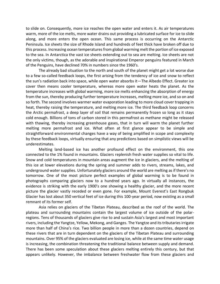to slide on. Consequently, more ice reaches the open water and enters it. As air temperatures warm, more of the ice melts, more water drains out providing a lubricated surface for ice to slide along, and more enters the open ocean. This same process is occurring on the Antarctic Peninsula. Ice sheets the size of Rhode Island and hundreds of feet thick have broken off due to this process. Increasing ocean temperatures from global warming melt the portion of ice exposed to the sea. In Antarctica the vast ice sheets extending out to sea are melting. Ice sheets are not the only victims, though, as the adorable and inspirational Emperor penguins featured in March of the Penguins, have declined 70% in numbers since the 1960's.

The already bad situation to the north and south of the planet might get a lot worse due to a few so-called feedback loops, the first arising from the tendency of ice and snow to reflect the sun's radiation back into space, while open water absorbs it—The Albedo Effect. Greater ice cover then means cooler temperature, whereas more open water heats the planet. As the temperature increases with global warming, more ice melts enhancing the absorption of energy from the sun, thereby producing further temperature increases, melting more ice, and so on and so forth. The second involves warmer water evaporation leading to more cloud cover trapping in heat, thereby raising the temperature, and melting more ice. The third feedback loop concerns the Arctic permafrost, a deep layer of soil that remains permanently frozen so long as it stays cold enough. Billions of tons of carbon stored in this permafrost as methane might be released with thawing, thereby increasing greenhouse gases, that in turn will warm the planet further melting more permafrost and ice. What often at first glance appear to be simple and straightforward environmental changes have a way of being amplified in scope and complexity by these feedback loops, virtually ensuring that any predictions based on simplistic views will be underestimates.

Melting land-based ice has another profound effect on the environment, this one connected to the 1% found in mountains. Glaciers replenish fresh water supplies so vital to life. Snow and cold temperatures in mountain areas augment the ice in glaciers, and the melting of this ice at lower elevations during the spring and summer adds to rivers, streams, lakes, and underground water supplies. Unfortunately glaciers around the world are melting as if there's no tomorrow. One of the most picture perfect examples of global warming is to be found in photographs comparing glaciers now to a hundred years ago. In virtually all instances, the evidence is striking with the early 1900's one showing a healthy glacier, and the more recent picture the glacier vastly receded or even gone. For example, Mount Everest's East Rongbuk Glacier has lost about 350 vertical feet of ice during this 100-year period, now existing as a small remnant of its former self.

Asia relies on glaciers of the Tibetan Plateau, described as the roof of the world. The plateau and surrounding mountains contain the largest volume of ice outside of the polarregions. Tens of thousands of glaciers give rise to and sustain Asia's largest and most important rivers, including the Yangtze, Yellow, Mekong, and Ganges. The Yangtze and its tributaries irrigate more than half of China's rice. Two billion people in more than a dozen countries, depend on these rivers that are in turn dependent on the glaciers of the Tibetan Plateau and surrounding mountains. Over 95% of the glaciers evaluated are losing ice, while at the same time water usage is increasing, the combination threatening the traditional balance between supply and demand. There has been some speculation about these glaciers melting entirely this century, but that appears unlikely. However, the imbalance between freshwater flow from these glaciers and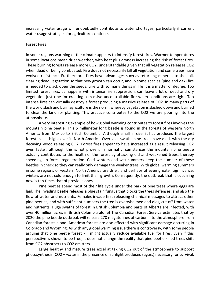increasing water usage will undoubtedly contribute to water shortages, particularly if current water usage strategies for agriculture continue.

### Forest Fires:

In some regions warming of the climate appears to intensify forest fires. Warmer temperatures in some locations mean drier weather, with heat plus dryness increasing the risk of forest fires. These burning forests release more CO2, understandable given that all vegetation releases CO2 when dead or being combusted. Fire does not necessarily kill all vegetation and some trees have evolved resistance. Furthermore, fires have advantages such as returning minerals to the soil, clearing dead vegetation so that new growth can occur, and in some species (pine and oak) fire is needed to crack open the seeds. Like with so many things in life it is a matter of degree. Too limited forest fires, as happens with intense fire suppression, can leave a lot of dead and dry vegetation just ripe for creating a massive uncontrollable fire when conditions are right. Too intense fires can virtually destroy a forest producing a massive release of CO2. In many parts of the world slash and burn agriculture is the norm, whereby vegetation is slashed down and burned to clear the land for planting. This practice contributes to the CO2 we are pouring into the atmosphere.

A very interesting example of how global warming contributes to forest fires involves the mountain pine beetle. This 5 millimeter long beetle is found in the forests of western North America from Mexico to British Columbia. Although small in size, it has produced the largest forest insect blight ever in North America. Over vast swaths pine trees have died, with the dry decaying wood releasing CO2. Forest fires appear to have increased as a result releasing CO2 even faster, although this is not proven. In normal circumstances the mountain pine beetle actually contributes to the health of the forest by attacking old and weakened trees, thereby speeding up forest regeneration. Cold winters and wet summers keep the number of these beetles in check so they can really only damage the weaker trees. With global warming summers in some regions of western North America are drier, and perhaps of even greater significance, winters are not cold enough to limit their growth. Consequently, the outbreak that is occurring now is ten times that of previous ones.

Pine beetles spend most of their life cycle under the bark of pine trees where eggs are laid. The invading beetle releases a blue stain fungus that blocks the trees defenses, and also the flow of water and nutrients. Females invade first releasing chemical messages to attract other pine beetles, and with sufficient numbers the tree is overwhelmed and dies, cut off from water and nutrients. Huge swaths of forest in British Columbia and parts of Alberta are infected, with over 40 million acres in British Columbia alone! The Canadian Forest Service estimates that by 2020 the pine beetle outbreak will release 270 megatonnes of carbon into the atmosphere from Canadian forests alone. American forests are also affected with significant damage occurring in Colorado and Wyoming. As with any global warming issue there is controversy, with some people arguing that pine beetle forest kill might actually reduce available fuel for fires. Even if this perspective is shown to be true, it does not change the reality that pine beetle killed trees shift from CO2 absorbers to CO2 emitters.

Large healthy and mature trees excel at taking CO2 out of the atmosphere to support photosynthesis (CO2 + water in the presence of sunlight produces sugars) necessary for survival.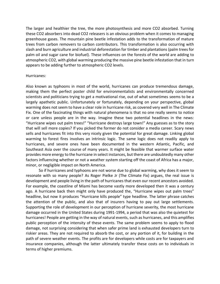The larger and healthier the tree, the more photosynthesis and more CO2 absorbed. Turning these CO2 absorbers into dead CO2 releasers is an obvious problem when it comes to managing greenhouse gases. The mountain pine beetle infestation adds to the transformation of mature trees from carbon removers to carbon contributors. This transformation is also occurring with slash and burn agriculture and industrial deforestation for timber and plantations (palm trees for palm oil and sugar cane for biofuel). These influences on the forests of the world are adding to atmospheric CO2, with global warming producing the massive pine beetle infestation that in turn appears to be adding further to atmospheric CO2 levels.

### Hurricanes:

Also known as typhoons in most of the world, hurricanes can produce tremendous damage, making them the perfect poster child for environmentalists and environmentally concerned scientists and politicians trying to get a motivational rise, out of what sometimes seems to be a largely apathetic public. Unfortunately or fortunately, depending on your perspective, global warming does not seem to have a clear role in hurricane risk, as covered very well in The Climate Fix. One of the fascinating things with natural phenomena is that no one really seems to notice or care unless people are in the way. Imagine these two potential headlines in the news: "Hurricane wipes out palm trees!" "Hurricane destroys large town!" Any guesses as to the story that will sell more copies? If you picked the former do not consider a media career. Scary news sells and hurricanes fit into this very nicely given the potential for great damage. Linking global warming to forest fires involves an intrinsic logic. The same logic does not readily apply to hurricanes, and severe ones have been documented in the western Atlantic, Pacific, and Southeast Asia over the course of many years. It might be feasible that warmer surface water provides more energy to the hurricane in select instances, but there are undoubtedly many other factors influencing whether or not a weather system starting off the coast of Africa has a major, minor, or negligible impact on North America.

So if hurricanes and typhoons are not worse due to global warming, why does it seem to resonate with so many people? As Roger Pielke Jr (The Climate Fix) argues, the real issue is development and people living in the path of hurricanes that even our recent ancestors avoided. For example, the coastline of Miami has become vastly more developed then it was a century ago. A hurricane back then might only have produced the, "Hurricane wipes out palm trees" headline, but now it produces "Hurricane kills people" type headline. The latter phrase catches the attention of the public, and also that of insurers having to pay out large settlements. Supporting the role of development in our perception of hurricane severity, the most hurricane damage occurred in the United States during 1991-1994, a period that was also the quietest for hurricanes! People are getting in the way of natural events, such as hurricanes, and this amplifies public perception of the intensity of these events. The same problem seems to apply to flood damage, not surprising considering that when safer prime land is exhausted developers turn to riskier areas. They are not required to absorb the cost, or any portion of it, for building in the path of severe weather events. The profits are for developers while costs are for taxpayers and insurance companies, although the latter ultimately transfer these costs on to individuals in terms of higher premiums.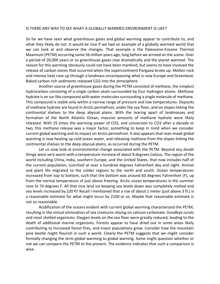#### IS THERE ANY WAY TO SEE WHAT A GLOBALLY WARMED ENVIRONMENT IS LIKE?

So far we have seen what greenhouse gases and global warming appear to contribute to, and what they likely do not. It would be nice if we had an example of a globally warmed world that we can look at and observe the changes. That example is the Paleocene-Eocene Thermal Maximum (PETM) occurring some 56 million years ago, long before we arrived on the scene. Over a period of 20,000 years or so greenhouse gases rose dramatically and the planet warmed. The reason for this warming obviously could not have been mankind, but seems to have involved the release of carbon stores that occurred when the supercontinent Pangaea broke up. Molten rock and intense heat rose up through a landmass encompassing what is now Europe and Greenland. Baked carbon rich sediments released CO2 into the atmosphere.

Another source of greenhouse gases during the PETM consisted of methane, the simplest hydrocarbon consisting of a single carbon atom surrounded by four hydrogen atoms. Methane hydrate is an ice-like compound with water molecules surrounding a single molecule of methane. This compound is stable only within a narrow range of pressure and low temperatures. Deposits of methane hydrate are found in Arctic permafrost, under the sea floor, and on slopes linking the continental shelves to the deep abyssal plains. With the tearing apart of landmasses and formation of the North Atlantic Ocean, massive amounts of methane hydrate were likely released. With 25 times the warming power of CO2, and conversion to CO2 after a decade or two, this methane release was a major factor, something to keep in mind when we consider current global warming and its impact on Arctic permafrost. It also appears that man-made global warming is now heating up cold ocean water, and releasing methane from the slopes linking the continental shelves to the deep abyssal plains, as occurred during the PETM.

Let us now look at environmental change associated with the PETM. Beyond any doubt things were very warm with a temperature increase of about 8 degrees Celsius. The region of the world including China, India, southern Europe, and the United States, that now includes half of the current population, scorched at over a hundred degrees Fahrenheit day and night. Animal and plant life migrated to the colder regions to the north and south. Ocean temperatures increased from top to bottom, such that the bottom was around 60 degrees Fahrenheit (F), up from the normal temperature of just above freezing. Arctic ocean temperatures in the summer rose to 74 degrees F. All that nice land ice keeping sea levels down was completely melted and sea levels increased by 220 ft! Recall I mentioned that a rise of about 1 meter (just above 3 ft.) is a reasonable estimate for what might occur by 2100 or so. Maybe that reasonable estimate is not so reasonable.

Acidification of the oceans evident with current global warming characterized the PETM, resulting in the virtual elimination of sea creatures relying on calcium carbonate. Goodbye corals and most shelled organisms. Oxygen levels on the sea floor were greatly reduced, leading to the death of additional marine organisms. Forests appear to have dried out in some areas likely contributing to increased forest fires, and insect populations grew. Consider how the mountain pine beetle might flourish in such a world. Clearly the PETM suggests that we might consider formally changing the term global warming to global warning. Some might question whether or not we can compare the PETM to the present. The evidence indicates that such a comparison is wise.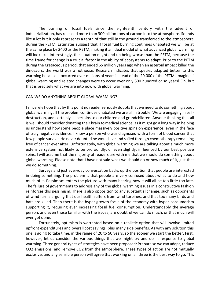The burning of fossil fuels since the eighteenth century with the advent of industrialization, has released more than 300 billion tons of carbon into the atmosphere. Sounds like a lot but it only represents a tenth of that still in the ground transferred to the atmosphere during the PETM. Estimates suggest that if fossil fuel burning continues unabated we will be at the same place by 2400 as the PETM, making it an ideal model of what advanced global warming will look like. Interestingly, the situation might end up being worse than the PETM, because the time frame for change is a crucial factor in the ability of ecosystems to adapt. Prior to the PETM during the Cretaceous period, that ended 65 million years ago when an asteroid impact killed the dinosaurs, the world was a hothouse. Research indicates that species adapted better to this warming because it occurred over millions of years instead of the 20,000 of the PETM. Imagine if global warming and related changes were to occur over only 500 hundred or so years! Oh, but that is precisely what we are into now with global warming.

### CAN WE DO ANYTHING ABOUT GLOBAL WARMING?

I sincerely hope that by this point no reader seriously doubts that we need to do something about global warming. If the problem continues unabated we are all in trouble. We are engaging in selfdestruction, and certainly as pertains to our children and grandchildren. Anyone thinking that all is well should consider donating their brain to medical science, as it might go a long way in helping us understand how some people place massively positive spins on experience, even in the face of truly negative evidence. I know a person who was diagnosed with a form of blood cancer that few people survive. He never doubted he would live and sailed through chemotherapy remaining free of cancer ever after. Unfortunately, with global warming we are talking about a much more extensive system not likely to be profoundly, or even slightly, influenced by our best positive spins. I will assume that the majority of readers are with me that we should do something about global warming. Please note that I have not said what we should do or how much of it, just that we do something.

Surveys and just everyday conversation backs up the position that people are interested in doing something. The problem is that people are very confused about what to do and how much of it. Pessimism enters the picture with many hearing how it will all be too little too late. The failure of governments to address any of the global warming issues in a constructive fashion reinforces this pessimism. There is also opposition to any substantial change, such as opponents of wind farms arguing that our health suffers from wind turbines, and that too many birds and bats are killed. Then there is the hyper-growth focus of the economy with hyper-consumerism supporting it, requiring ever increasing fossil fuel consumption. Understandably the average person, and even those familiar with the issues, are doubtful we can do much, or that much will ever get done.

Fortunately, optimism is warranted based on a realistic option that will involve limited upfront expenditures and overall cost savings, plus many side benefits. As with any solution this one is going to take time, in the range of 20 to 50 years, so the sooner we start the better. First, however, let us consider the various things that we might try and do in response to global warming. Three general types of strategies have been proposed: Prepare so we can adapt, reduce CO2 emissions, and remove CO2 from the atmosphere. These types of action are not mutually exclusive, and any sensible person will agree that working on all three is the best way to go. This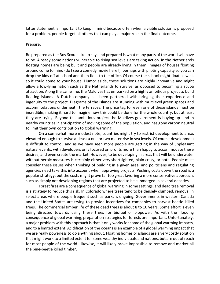latter statement is important to keep in mind because often when a viable solution is proposed for a problem, people forget all others that can play a major role in the final outcome.

#### Prepare:

Be prepared as the Boy Scouts like to say, and prepared is what many parts of the world will have to be. Already some nations vulnerable to rising sea levels are taking action. In the Netherlands floating homes are being built and people are already living in them. Images of houses floating around come to mind (do I see a comedy movie here?), perhaps with piloting capacity so you can drop the kids off at school and then float to the office. Of course the school might float as well, so it could come to your house. Humor aside, these solutions are highly innovative and might allow a low-lying nation such as the Netherlands to survive, as opposed to becoming a scuba attraction. Along the same line, the Maldives has embarked on a highly ambitious project to build floating islands! A Dutch company has been partnered with bringing their experience and ingenuity to the project. Diagrams of the islands are stunning with multilevel green spaces and accommodations underneath the terraces. The price tag for even one of these islands must be incredible, making it hard to imagine how this could be done for the whole country, but at least they are trying. Beyond this ambitious project the Maldives government is buying up land in nearby countries in anticipation of moving some of the population, and has gone carbon neutral to limit their own contribution to global warming.

On a somewhat more modest note, countries might try to restrict development to areas elevated enough to survive at least a one or two meter rise in sea levels. Of course development is difficult to control, and as we have seen more people are getting in the way of unpleasant natural events, with developers only focused on profits more than happy to accommodate these desires, and even create the market. However, to be developing in areas that will be underwater without heroic measures is certainly either very shortsighted, plain crazy, or both. People must consider these issues when thinking of building in a given area, and politicians and regulating agencies need take this into account when approving projects. Pushing costs down the road is a popular strategy, but the costs might prove far too great favoring a more conservative approach, such as simply not developing regions that are projected to be submerged in several decades.

Forest fires are a consequence of global warming in some settings, and dead tree removal is a strategy to reduce this risk. In Colorado where trees tend to be densely clumped, removal in select areas where people frequent such as parks is ongoing. Governments in western Canada and the United States are trying to provide incentives for companies to harvest beetle-killed trees. The commercial timber life of these dead trees is about 8 to 10 years. Some effort is even being directed towards using these trees for biofuel or biopower. As with the flooding consequence of global warming, preparation strategies for forests are important. Unfortunately, a major problem with this approach is that it only works for some of the global warming impacts, and to a limited extent. Acidification of the oceans is an example of a global warming impact that we are really powerless to do anything about. Floating homes or islands are a very costly solution that might work to a limited extent for some wealthy individuals and nations, but are out of reach for most people of the world. Likewise, it will likely prove impossible to remove and market all the pine-beetle killed timber.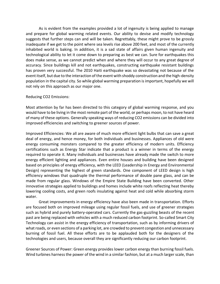As is evident from the examples provided a lot of ingenuity is being applied to manage and prepare for global warming related events. Our ability to devise and modify technology suggests that further steps can and will be taken. Regrettably, these might prove to be grossly inadequate if we get to the point where sea levels rise above 200 feet, and most of the currently inhabited world is baking. In addition, it is a sad state of affairs given human ingenuity and technological ability to let it come down to preparing as best we can. Sure for earthquakes this does make sense, as we cannot predict when and where they will occur to any great degree of accuracy. Since buildings kill and not earthquakes, constructing earthquake resistant buildings has proven very successful. The 2010 Haiti earthquake was so devastating not because of the event itself, but due to the interaction of the event with shoddy construction and the high-density population in the capital city. So while global warming preparation is important, hopefully we will not rely on this approach as our major one.

### Reducing CO2 Emissions:

Most attention by far has been directed to this category of global warming response, and you would have to be living in the most remote part of the world, or perhaps moon, to not have heard of many of these options. Generally speaking ways of reducing CO2 emissions can be divided into improved efficiencies and switching to greener sources of power.

Improved Efficiencies: We all are aware of much more efficient light bulbs that can save a great deal of energy, and hence money, for both individuals and businesses. Appliances of old were energy consuming monsters compared to the greater efficiency of modern units. Efficiency certifications such as Energy Star indicate that a product is a winner in terms of the energy required to operate it. Many individuals and businesses have already made the switch to more energy efficient lighting and appliances. Even entire houses and building have been designed based on principles of energy efficiency, with the LEED (Leadership in Energy and Environmental Design) representing the highest of green standards. One component of LEED design is high efficiency windows that quadruple the thermal performance of double pane glass, and can be made from regular glass. Windows of the Empire State Building have been converted. Other innovative strategies applied to buildings and homes include white roofs reflecting heat thereby lowering cooling costs, and green roofs insulating against heat and cold while absorbing storm water.

Great improvements in energy efficiency have also been made in transportation. Efforts are focused both on improved mileage using regular fossil fuels, and use of greener strategies such as hybrid and purely battery-operated cars. Currently the gas-guzzling beasts of the recent past are being replaced with vehicles with a much reduced carbon footprint. So-called Smart City Technology can assist in the energy efficiency of transportation, such as by informing drivers of what roads, or even sections of a parking lot, are crowded to prevent congestion and unnecessary burning of fossil fuel. All these efforts are to be applauded both for the designers of the technologies and users, because overall they are significantly reducing our carbon footprint.

Greener Sources of Power: Green energy provides lower carbon energy than burning fossil fuels. Wind turbines harness the power of the wind in a similar fashion, but at a much larger scale, than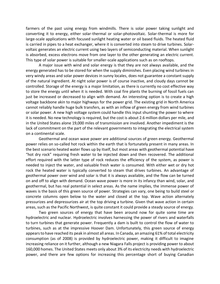farmers of the past using energy from windmills. There is solar power taking sunlight and converting it to energy, either solar-thermal or solar-photovoltaic. Solar-thermal is more for large-scale applications with focused sunlight heating water or oil based fluids. The heated fluid is carried in pipes to a heat exchanger, where it is converted into steam to drive turbines. Solarvoltaic generates an electric current using two layers of semiconducting material. When sunlight is absorbed, excess electrons move from one layer to the other generating an electric current. This type of solar power is suitable for smaller-scale applications such as on rooftops.

A major issue with wind and solar energy is that they are not always available, and the energy generated has to be stored for when the supply diminishes. Even placing wind turbines in very windy areas and solar power devices in sunny locales, does not guarantee a constant supply of the natural ingredient. At night solar power is of course inactive, and cloudy days cannot be controlled. Storage of the energy is a major limitation, as there is currently no cost effective way to store the energy until when it is needed. With coal fire plants the burning of fossil fuels can just be increased or decreased to align with demand. An interesting option is to create a high voltage backbone akin to major highways for the power grid. The existing grid in North America cannot reliably handle huge bulk transfers, as with an inflow of green energy from wind turbines or solar power. A new high voltage system could handle this input shunting the power to where it is needed. No new technology is required, but the cost is about 2.6 million dollars per mile, and in the United States alone 19,000 miles of transmission are involved. Another impediment is the lack of commitment on the part of the relevant governments to integrating the electrical system on a continental scale.

Geothermal and ocean wave power are additional sources of green energy. Geothermal power relies on so-called hot rock within the earth that is fortunately present in many areas. In the best scenario heated water flows up by itself, but most areas with geothermal potential have "hot dry rock" requiring fresh water to be injected down and then recovered. The additional effort required with the latter type of rock reduces the efficiency of the system, as power is needed to inject the water, and valuable fresh water is consumed. With either wet or dry hot rock the heated water is typically converted to steam that drives turbines. An advantage of geothermal power over wind and solar is that it is always available, and the flow can be turned on and off to align with demand. Ocean wave power is more in its infancy than wind, solar, and geothermal, but has real potential in select areas. As the name implies, the immense power of waves is the basis of this green source of power. Strategies can vary, one being to build steel or concrete columns open below to the water and closed at the top. Wave action alternately pressurizes and depressurizes air at the top driving a turbine. Given that wave action in certain areas, such as the Pacific Northwest, is quite constant it could provide a steady source of energy.

Two green sources of energy that have been around now for quite some time are hydroelectric and nuclear. Hydroelectric involves harnessing the power of rivers and waterfalls to turn turbines that generate power. Frequently a dam is built to control the flow of water to turbines, such as at the impressive Hoover Dam. Unfortunately, this green source of energy appears to have reached its peak in almost all areas. In Canada, an amazing 61% of total electricity consumption (as of 2008) is provided by hydroelectric power, making it difficult to imagine increasing reliance on it further, although a new Niagara Falls project is providing power to about 160,000 homes. The United States meets only about 3% of its electricity needs with hydroelectric power, and there are few options for increasing this percentage short of buying Canadian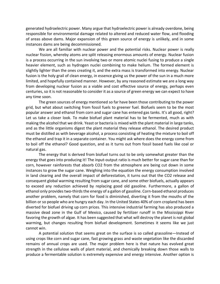generated hydroelectric power. Many argue that hydroelectric power is already overdone, being responsible for environmental damage related to altered and reduced water flow, and flooding of areas above dams. Major expansion of this green source of energy is unlikely, and in some instances dams are being decommissioned.

We are all familiar with nuclear power and the potential risks. Nuclear power is really nuclear fission, whereby atoms are split releasing enormous amounts of energy. Nuclear fusion is a process occurring in the sun involving two or more atomic nuclei fusing to produce a single heavier element, such as hydrogen nuclei combining to make helium. The formed element is slightly lighter than the ones creating it, and the extra mass is transformed into energy. Nuclear fusion is the holy grail of clean energy, in essence giving us the power of the sun in a much more limited, and hopefully contained manner. However, by any reasoned estimate we are a long way from developing nuclear fusion as a viable and cost effective source of energy, perhaps even centuries, so it is not reasonable to consider it as a source of green energy we can expect to have any time soon.

The green sources of energy mentioned so far have been those contributing to the power grid, but what about switching from fossil fuels to greener fuel. Biofuels seem to be the most popular answer and ethanol from corn and sugar cane has entered gas tanks. It's all good, right? Let us take a closer look. To make biofuel plant material has to be fermented, much as with making the alcohol that we drink. Yeast or bacteria is mixed with the plant material in large tanks, and as the little organisms digest the plant material they release ethanol. The desired product must be distilled as with beverage alcohol, a process consisting of heating the mixture to boil off the ethanol and trap it in a separate container. You might ask where does the energy come from to boil off the ethanol? Good question, and as it turns out from fossil based fuels like coal or natural gas.

The energy that is derived from biofuel turns out to be only somewhat greater than the energy that goes into producing it! The input-output ratio is much better for sugar cane than for corn, however rainforests that absorb CO2 from the atmosphere are being cut down in some instances to grow the sugar cane. Weighing into the equation the energy consumption involved in land clearing and the overall impact of deforestation, it turns out that the CO2 release and consequent global warming resulting from sugar cane, and some other biofuels, actually appears to exceed any reduction achieved by replacing good old gasoline. Furthermore, a gallon of ethanol only provides two-thirds the energy of a gallon of gasoline. Corn-based ethanol produces another problem, namely that corn for food is diminished, diverting it from the mouths of the billion or so people who are hungry each day. In the United States 40% of corn cropland has been diverted for biofuel driving up corn prices. This intensive industrial farming has also produced a massive dead zone in the Gulf of Mexico, caused by fertilizer runoff in the Mississippi River favoring the growth of algae. It has been suggested that what will destroy the planet is not global warming, but changes resulting from biofuel development. Sometimes it seems like we just cannot win.

A potential solution that seems great on the surface is so called grassoline—Instead of using crops like corn and sugar cane, fast growing grass and waste vegetation like the discarded remains of annual crops are used. The major problem here is that nature has evolved great strength in the cellulose walls of plant material, and chemically breaking down those walls to produce a fermentable solution is extremely expensive and energy intensive. Another option is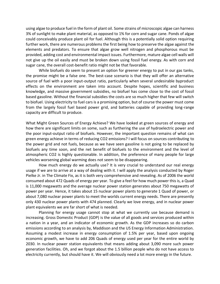using algae to produce fuel in the form of plant oil. Some strains of microscopic algae can harness 3% of sunlight to make plant material, as opposed to 1% for corn and sugar cane. Ponds of algae could conceivably produce plant oil for fuel. Although this is a potentially solid option requiring further work, there are numerous problems the first being how to preserve the algae against the elements and predators. To ensure that algae grow well nitrogen and phosphorous must be provided, adding cost and environmental impact issues. Furthermore, mature algae cell walls will not give up the oil easily and must be broken down using fossil fuel energy. As with corn and sugar cane, the overall cost-benefit ratio might not be that favorable.

While biofuels do seem to present an option for greener energy to put in our gas tanks, the promise might be a false one. The best-case scenario is that they will offer an alternative source of fuel with a poor input-output ratio, particularly when several undesirable byproduct effects on the environment are taken into account. Despite hopes, scientific and business knowledge, and massive government subsidies, no biofuel has come close to the cost of fossil based gasoline. Without the financial subsidies the costs are so much higher that few will switch to biofuel. Using electricity to fuel cars is a promising option, but of course the power must come from the largely fossil fuel based power grid, and batteries capable of providing long-range capacity are difficult to produce.

What Might Green Sources of Energy Achieve? We have looked at green sources of energy and how there are significant limits on some, such as furthering the use of hydroelectric power and the poor input-output ratio of biofuels. However, the important question remains of what can green energy achieve in terms of reducing CO2 emissions? I will focus on sources contributing to the power grid and not fuels, because as we have seen gasoline is not going to be replaced by biofuels any time soon, and the net benefit of biofuels to the environment and the level of atmospheric CO2 is highly questionable. In addition, the preference of many people for large vehicles worsening global warming does not seem to be disappearing.

How much energy do we actually use? It is very crucial to understand our real energy usage if we are to arrive at a way of dealing with it. I will apply the analysis conducted by Roger Pielke Jr. in The Climate Fix, as it is both very comprehensive and revealing. As of 2006 the world consumed about 472 Quads of energy per year. To give a feel for how much power this is, a Quad is 11,000 megawatts and the average nuclear power station generates about 750 megawatts of power per year. Hence, it takes about 15 nuclear power plants to generate 1 Quad of power, or about 7,080 nuclear power plants to meet the worlds current energy needs. There are presently only 430 nuclear power plants with 474 planned. Clearly we love energy, and in nuclear power plant equivalents we are far short of what is needed.

Planning for energy usage cannot stop at what we currently use because demand is increasing. Gross Domestic Product (GDP) is the value of all goods and services produced within a nation in a year, and an indicator of economic growth. As the GDP increases so do carbon emissions according to an analysis by, Maddison and the US Energy Information Administration. Assuming a modest increase in energy consumption of 1.5% per year, based upon ongoing economic growth, we have to add 206 Quads of energy used per year for the entire world by 2030. In nuclear power station equivalents that means adding about 3,090 more such power generation facilities. Oh, and we forgot about the 1.5 billion people who do not have access to electricity currently, but should have it. We will obviously need a lot more energy in the future.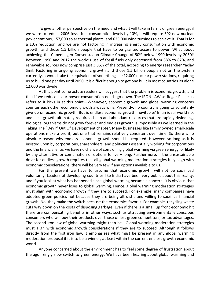To give another perspective on the need and what it will take in terms of green energy, if we were to reduce 2006 fossil fuel consumption levels by 10%, it will require 692 new nuclear power stations, 157,000 solar thermal plants, and 625,000 wind turbines to achieve it! That is for a 10% reduction, and we are not factoring in increasing energy consumption with economic growth, and those 1.5 billion people that have to be granted access to power. What about achieving the Copenhagen Consensus on Climate Change of 50% below 1990 levels by 2050? Between 1990 and 2012 the world's use of fossil fuels only decreased from 88% to 87%, and renewable sources now comprise just 3.35% of the total, according to energy researcher Yaclav Smil. Factoring in ongoing economic growth and those 1.5 billion people not on the system currently, it would take the equivalent of something like 12,000 nuclear power stations, requiring us to build one per day until 2050. It is difficult enough to get one built in most countries let alone 12,000 worldwide.

At this point some astute readers will suggest that the problem is economic growth, and that if we reduce it our power consumption needs go down. The IRON LAW as Roger Pielke Jr. refers to it kicks in at this point—Whenever, economic growth and global warming concerns counter each other economic growth always wins. Presently, no country is going to voluntarily give up on economic growth. But is endless economic growth inevitable? In an ideal world no, and such growth ultimately requires cheap and abundant resources that are rapidly dwindling. Biological organisms do not grow forever and endless growth is impossible as we learned in the Taking The "Devil" Out Of Development chapter. Many businesses like family owned small-scale operations make a profit, but one that remains relatively consistent over time. So there is no absolute reason why endless economic growth should be required. However, so long as it is insisted upon by corporations, shareholders, and politicians essentially working for corporations and the financial elite, we have no chance of controlling global warming via green energy, or likely by any alternative or combination of options for very long. Furthermore, if the unsustainable drive for endless growth requires that all global warming moderation strategies fully align with economic considerations, there will be very few if any options available to us.

For the present we have to assume that economic growth will not be sacrificed voluntarily. Leaders of developing countries like India have been very public about this reality, and if you look at what has happened since global warming became a concern, it is obvious that economic growth never loses to global warming. Hence, global warming moderation strategies must align with economic growth if they are to succeed. For example, many companies have adopted green policies not because they are being altruistic and willing to sacrifice financial growth. No, they make the switch because the economics favor it. For example, recycling waste cuts way down on the costs of disposing garbage. Even if there is a small up front economic hit there are compensating benefits in other ways, such as attracting environmentally conscious consumers who will buy their products over those of less green competitors, or tax advantages. The second iron law of global warming might then be—Global warming moderation strategies must align with economic growth considerations if they are to succeed. Although it follows directly from the first iron law, it emphasizes what must be present in any global warming moderation proposal if it is to be a winner, at least within the current endless growth economic world.

Anyone concerned about the environment has to feel some degree of frustration about the agonizingly slow switch to green energy. We have been hearing about global warming and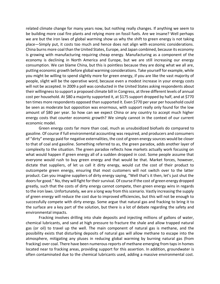related climate change for many years now, but nothing really changes. If anything we seem to be building more coal fire plants and relying more on fossil fuels. Are we insane? Well perhaps we are but the iron laws of global warming show us why the shift to green energy is not taking place—Simply put, it costs too much and hence does not align with economic considerations. China burns more coal than the United States, Europe, and Japan combined, because its economy is growing with manufacturing requiring cheap energy. Manufacturing as a component of the economy is declining in North America and Europe, but we are still increasing our energy consumption. We can blame China, but this is pointless because they are doing what we all are, putting economic growth before global warming considerations. Take yourself for example, while you might be willing to spend slightly more for green energy, if you are like the vast majority of people, slight will be the operative word, because even a modest increase in your energy costs will not be accepted. In 2009 a poll was conducted in the United States asking respondents about their willingness to support a proposed climate bill in Congress, at three different levels of annual cost per household. At \$80 a majority supported it, at \$175 support dropped by half, and at \$770 ten times more respondents opposed than supported it. Even \$770 per year per household could be seen as moderate but opposition was enormous, with support really only found for the low amount of \$80 per year. So how can we expect China or any country to accept much higher energy costs that counter economic growth? We simply cannot in the context of our current economic model.

Green energy costs far more than coal, much as unsubsidized biofuels do compared to gasoline. Of course if full environmental accounting was required, and producers and consumers of "dirty" energy paid for negative externalities, the cost of green energy sources would be closer to that of coal and gasoline. Something referred to as, the green paradox, adds another layer of complexity to the situation. The green paradox reflects how markets actually work focusing on what would happen if green energy all of a sudden dropped in cost. Some people assume that everyone would rush to buy green energy and that would be that. Market forces, however, dictate that suppliers, of let us call it dirty energy, would cut the cost of their product to outcompete green energy, ensuring that most customers will not switch over to the latter product. Can you imagine suppliers of dirty energy saying, "Well that's it then, let's just shut the doors for good." No, they will fight for their survival. Of course if the cost of green energy dropped greatly, such that the costs of dirty energy cannot compete, then green energy wins in regards to the iron laws. Unfortunately, we are a long way from this scenario. Vastly increasing the supply of green energy will reduce the cost due to improved efficiencies, but this will not be enough to successfully compete with dirty energy. Some argue that natural gas and fracking to bring it to the surface are a key part of the solution, but there is a lot of debate regarding the safety and environmental impacts.

Fracking involves drilling into shale deposits and injecting millions of gallons of water, chemical lubricants, and sand at high pressure to fracture the shale and allow trapped natural gas (or oil) to travel up the well. The main component of natural gas is methane, and the possibility exists that disturbing deposits of natural gas will allow methane to escape into the atmosphere, mitigating any pluses in reducing global warming by burning natural gas (from fracking) over coal. There have been numerous reports of methane emerging from taps in homes located near to fracking areas, providing support for this assertion. In addition, groundwater is often contaminated due to the chemical lubricants used, adding a massive environmental cost.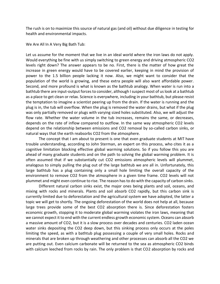The rush is on to maximize this source of natural gas (and oil) without due diligence in testing for health and environmental impacts.

We Are All In A Very Big Bath Tub:

Let us assume for the moment that we live in an ideal world where the iron laws do not apply. Would everything be fine with us simply switching to green energy and driving atmospheric CO2 levels right down? The answer appears to be no. First, there is the matter of how great the increase in green energy would have to be covered earlier, keeping in mind the provision of power to the 1.5 billion people lacking it now. Also, we might want to consider that the population of the world is growing, and these extra people will also want affordable power. Second, and more profound is what is known as the bathtub analogy. When water is run into a bathtub there are input-output forces to consider, although I suspect most of us look at a bathtub as a place to get clean or relax. Science is everywhere, including in your bathtub, but please resist the temptation to imagine a scientist peering up from the drain. If the water is running and the plug is in, the tub will overflow. When the plug is removed the water drains, but what if the plug was only partially removed or plugs with varying sized holes substituted. Also, we will adjust the flow rate. Whether the water volume in the tub increases, remains the same, or decreases, depends on the rate of inflow compared to outflow. In the same way atmospheric CO2 levels depend on the relationship between emissions and CO2 removal by so-called carbon sinks, or natural ways that the earth reabsorbs CO2 from the atmosphere.

The concept that I am about to present is one that even graduate students at MIT have trouble understanding, according to John Sterman, an expert on this process, who cites it as a cognitive limitation blocking effective global warming solutions. So if you follow this you are ahead of many graduate students and on the path to solving the global warming problem. It is often assumed that if we substantially cut CO2 emissions atmospheric levels will plummet, analogous to simply pulling the plug out of the large bathtub we are all in. Unfortunately, this large bathtub has a plug containing only a small hole limiting the overall capacity of the environment to remove CO2 from the atmosphere in a given time frame. CO2 levels will not plummet and might even continue to rise. The reason has to do with the capacity of carbon sinks.

Different natural carbon sinks exist, the major ones being plants and soil, oceans, and mixing with rocks and minerals. Plants and soil absorb CO2 rapidly, but this carbon sink is currently limited due to deforestation and the agricultural system we have adopted, the latter a topic we will get to shortly. The ongoing deforestation of the world does not help at all, because large trees provide some of the best CO2 absorption there is. Since deforestation fosters economic growth, stopping it to moderate global warming violates the iron laws, meaning that we cannot expect it to end with the current endless growth economic system. Oceans can absorb a massive amount of CO2, but it is a slow process over decades and centuries. CO2 laden ocean water sinks depositing the CO2 deep down, but this sinking process only occurs at the poles limiting the speed, as with a bathtub plug possessing a couple of very small holes. Rocks and minerals that are broken up through weathering and other processes can absorb all the CO2 we are putting out. Even calcium carbonate will be returned to the sea as atmospheric CO2 binds with calcium leeched from rocks by rain. The only problem is that CO2 absorption by rocks and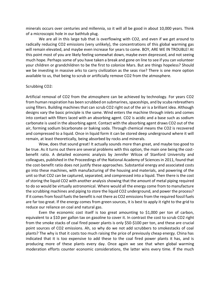minerals occurs over centuries and millennia, so it will all be good in about 10,000 years. Think of a microscopic hole in our bathtub plug.

We are all in this large tub that is overflowing with CO2, and even if we get around to radically reducing CO2 emissions (very unlikely), the concentrations of this global warming gas will remain elevated, and maybe even increase for years to come. BOY, ARE WE IN TROUBLE! At this point most of you are likely feeling somewhat down, maybe even depressed, and not seeing much hope. Perhaps some of you have taken a break and gone on line to see if you can volunteer your children or grandchildren to be the first to colonize Mars. But are things hopeless? Should we be investing in massive arks to carry civilization as the seas rise? There is one more option available to us, that being to scrub or artificially remove CO2 from the atmosphere.

#### Scrubbing CO2:

Artificial removal of CO2 from the atmosphere can be achieved by technology. For years CO2 from human respiration has been scrubbed on submarines, spaceships, and by scuba rebreathers using filters. Building machines that can scrub CO2 right out of the air is a brilliant idea. Although designs vary the basic principle is the same. Wind enters the machine through inlets and comes into contact with filters laced with an absorbing agent. CO2 is acidic and a base such as sodium carbonate is used in the absorbing agent. Contact with the absorbing agent draws CO2 out of the air, forming sodium bicarbonate or baking soda. Through chemical means the CO2 is recovered and compressed to a liquid. Once in liquid form it can be stored deep underground where it will remain, at least theoretically, being absorbed by rocks and minerals.

Wow, does that sound great! It actually sounds more than great, and maybe too good to be true. As it turns out there are several problems with this option, the main one being the costbenefit ratio. A detailed economic analysis by Jennifer Wilcox of Stanford University and colleagues, published in the Proceedings of the National Academy of Sciences in 2011, found that the cost-benefit ratio does not justify these approaches. Substantial energy and associated costs go into these machines, with manufacturing of the housing and materials, and powering of the unit so that CO2 can be captured, separated, and compressed into a liquid. Then there is the cost of storing the liquid CO2 with another analysis showing that the amount of metal piping required to do so would be virtually astronomical. Where would all the energy come from to manufacture the scrubbing machines and piping to store the liquid CO2 underground, and power the process? If it comes from fossil fuels the benefit is not there as CO2 emissions from the required fossil fuels are far too great. If the energy comes from green sources, it is best to apply it right to the grid to reduce our reliance on coal and natural gas.

Even the economic cost itself is too great amounting to \$1,000 per ton of carbon, equivalent to a \$10 per gallon tax on gasoline to cover it. In contrast the cost to scrub CO2 right from the smoke stacks of coal fired power plants is only \$50-\$100 per ton, and these are crucial point sources of CO2 emissions. Ah, so why do we not add scrubbers to smokestacks of coal plants? The why is that it costs too much raising the price of previously cheap energy. China has indicated that it is too expensive to add these to the coal fired power plants it has, and is producing more of these plants every day. Once again we see that when global warming moderation efforts counter economic considerations, the latter wins every time. If the much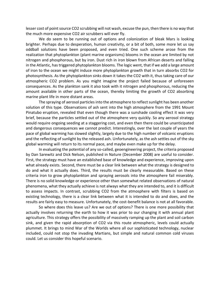lesser cost of point source CO2 scrubbing will not wash, excuse the pun, then there is no way that the much more expensive CO2 air scrubbers will ever fly.

We do seem to be running out of options and colonization of bleak Mars is looking brighter. Perhaps due to desperation, human creativity, or a bit of both, some more let us say oddball solutions have been proposed, and even tried. One such scheme arose from the realization that phytoplankton (plant marine organisms) blooms in the ocean are limited by not nitrogen and phosphorous, but by iron. Dust rich in iron blown from African deserts and falling in the Atlantic, has triggered phytoplankton blooms. The logic went, that if we add a large amount of iron to the ocean we might induce more phytoplankton growth that in turn absorbs CO2 for photosynthesis. As the phytoplankton sinks down it takes the CO2 with it, thus taking care of our atmospheric CO2 problem. As you might imagine the project failed because of unforeseen consequences. As the plankton sank it also took with it nitrogen and phosphorous, reducing the amount available in other parts of the ocean, thereby limiting the growth of CO2 absorbing marine plant life in more distant areas.

The spraying of aerosol particles into the atmosphere to reflect sunlight has been another solution of this type. Observations of ash sent into the high atmosphere from the 1991 Mount Pinatubo eruption, revealed that even though there was a sunshade cooling effect it was very brief, because the particles settled out of the atmosphere very quickly. So any aerosol strategy would require ongoing seeding at a staggering cost, and even then there could be unanticipated and dangerous consequences we cannot predict. Interestingly, over the last couple of years the pace of global warming has slowed slightly, largely due to the high number of volcanic eruptions and the reflecting of sunlight by the released ash. Unfortunately, as the ash settles out of the sky global warming will return to its normal pace, and maybe even make up for the delay.

In evaluating the potential of any so-called, geoengineering project, the criteria proposed by Dan Sarewitz and Dick Nelson, published in Nature (December 2008) are useful to consider. First, the strategy must have an established base of knowledge and experience, improving upon what already exists. Second, there must be a clear link between what the strategy is designed to do and what it actually does. Third, the results must be clearly measurable. Based on these criteria iron to grow phytoplankton and spraying aerosols into the atmosphere fail miserably. There is no solid knowledge or experience other than somewhat related observations of natural phenomena, what they actually achieve is not always what they are intended to, and it is difficult to assess impacts. In contrast, scrubbing CO2 from the atmosphere with filters is based on existing technology, there is a clear link between what it is intended to do and does, and the results are fairly easy to measure. Unfortunately, the cost-benefit balance is not at all favorable.

So where does this leave us? Are we out of options? There is one more possibility that actually involves returning the earth to how it was prior to our changing it with annual plant agriculture. This strategy offers the possibility of massively ramping up the plant and soil carbon sink, and given the rapid absorption of CO2 via this route atmospheric, levels could actually plummet. It brings to mind War of the Worlds where all our sophisticated technology, nuclear included, could not stop the invading Martians, but simple and natural common cold viruses could. Let us consider this hopeful scenario.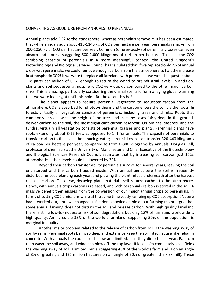#### CONVERTING AGRICULTURE FROM ANNUALS TO PERENNIALS:

Annual plants add CO2 to the atmosphere, whereas perennials remove it. It has been estimated that while annuals add about 410-1140 kg of CO2 per hectare per year, perennials remove from 200-1050 kg of CO2 per hectare per year. Common (or previously so) perennial grasses can even absorb and store a staggering 500-2,000 kilograms of carbon per hectare! To place the CO2 scrubbing capacity of perennials in a more meaningful context, the United Kingdom's Biotechnology and Biological Services Council has calculated that if we replaced only 2% of annual crops with perennials, we could remove enough carbon from the atmosphere to halt the increase in atmospheric CO2! If we were to replace all farmland with perennials we would sequester about 118 parts per million of CO2, enough to return the world to preindustrial levels! In addition, plants and soil sequester atmospheric CO2 very quickly compared to the other major carbon sinks. This is amazing, particularly considering the dismal scenario for managing global warming that we were looking at until this point. But how can this be?

The planet appears to require perennial vegetation to sequester carbon from the atmosphere. CO2 is absorbed for photosynthesis and the carbon enters the soil via the roots. In forests virtually all vegetation consists of perennials, including trees and shrubs. Roots that commonly spread twice the height of the tree, and in many cases fairly deep in the ground, deliver carbon to the soil, the most significant carbon reservoir. On prairies, steppes, and the tundra, virtually all vegetation consists of perennial grasses and plants. Perennial plants have roots extending about 8-12 feet, as opposed to 1 ft for annuals. The capacity of perennials to transfer carbon to the soil is then much greater; perennial crops can transfer 320-440 kilograms of carbon per hectare per year, compared to from 0-300 kilograms by annuals. Douglas Kell, professor of chemistry at the University of Manchester and Chief Executive of the Biotechnology and Biological Sciences Research Council, estimates that by increasing soil carbon just 15%, atmospheric carbon levels could be lowered by 30%.

Beyond their carbon transfer ability perennials survive for several years, leaving the soil undisturbed and the carbon trapped inside. With annual agriculture the soil is frequently disturbed for seed planting each year, and plowing the plant refuse underneath after the harvest releases carbon. Of course, decaying plant material itself returns carbon to the atmosphere. Hence, with annuals crops carbon is released, and with perennials carbon is stored in the soil. A massive benefit then ensues from the conversion of our major annual crops to perennials, in terms of cutting CO2 emissions while at the same time vastly ramping up CO2 absorption! Nature had it worked out, until we changed it. Readers knowledgeable about farming might argue that some annual farming does not disturb the soil and release carbon. With high quality farmland there is still a low-to-moderate risk of soil degradation, but only 12% of farmland worldwide is high quality. An incredible 33% of the world's farmland, supporting 50% of the population, is marginal in quality.

Another major problem related to the release of carbon from soil is the washing away of soil by rains. Perennial roots being so deep and extensive keep the soil intact, acting like rebar in concrete. With annuals the roots are shallow and limited, plus they die off each year. Rain can then wash the soil away, and wind can blow off the top layer if loose. On completely level fields the washing away of soil is limited, but a staggering 45% of the world's farmland is on an angle of 8% or greater, and 135 million hectares on an angle of 30% or greater (think ski hill). These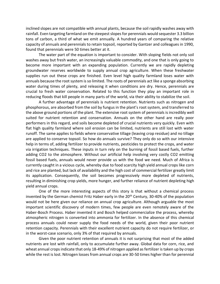inclined slopes are not compatible with annual plants, because the soil rapidly washes away with rainfall. Even targeting farmland on the steepest slopes for perennials would sequester 3.3 billion tons of carbon, a third of what we emit annually. A hundred years of comparing the relative capacity of annuals and perennials to retain topsoil, reported by Gantzer and colleagues in 1990, found that perennials were 50 times better at it.

The water part of the equation is important to consider. With sloping fields not only soil washes away but fresh water, an increasingly valuable commodity, and one that is only going to become more important with an expanding population. Currently we are rapidly depleting groundwater reserves worldwide to supply annual crop agriculture. When these freshwater supplies run out these crops are finished. Even level high quality farmland loses water with annuals because the root system is so limited. The roots of perennials act like a sponge absorbing water during times of plenty, and releasing it when conditions are dry. Hence, perennials are crucial to fresh water conservation. Related to this function they play an important role in reducing floods that kill people in many parts of the world, via their ability to stabilize the soil.

A further advantage of perennials is nutrient retention. Nutrients such as nitrogen and phosphorous, are absorbed from the soil by fungus in the plant's root system, and transferred to the above ground portions of the plant. The extensive root system of perennials is incredibly well suited for nutrient retention and conservation. Annuals on the other hand are really poor performers in this regard, and soils become depleted of crucial nutrients very quickly. Even with flat high quality farmland where soil erosion can be limited, nutrients are still lost with water runoff. The same applies to fields where conservative tillage (leaving crop residue) and no tillage are applied to conserve topsoil. So how do annuals survive? They only do so with our intensive help in terms of, adding fertilizer to provide nutrients, pesticides to protect the crops, and water via irrigation techniques. These inputs in turn rely on the burning of fossil based fuels, further adding CO2 to the atmosphere. Without our artificial help involving very costly CO2 emitting fossil based fuels, annuals would never provide us with the food we need. Much of Africa is currently caught in a vicious cycle, whereby due to food scarcity high yield annual crops like corn and rice are planted, but lack of availability and the high cost of commercial fertilizer greatly limit its application. Consequently, the soil becomes progressively more depleted of nutrients, resulting in diminishing crop yields, more hunger, and further reliance of nutrient depleting high yield annual crops.

One of the more interesting aspects of this story is that without a chemical process invented by the German chemist Fritz Haber early in the 20<sup>th</sup> Century, 30-40% of the population would not be here given our reliance on annual crop agriculture. Although arguable the most important scientific discovery of modern times, few people are even remotely aware of the Haber-Bosch Process. Haber invented it and Bosch helped commercialize the process, whereby atmospheric nitrogen is converted into ammonia for fertilizer. In the absence of this chemical process annuals could never supply the food needs of the world, given their poor nutrient retention capacity. Perennials with their excellent nutrient capacity do not require fertilizer, or in the worst-case scenario, only 3% of that required by annuals.

Given the poor nutrient retention of annuals it is not surprising that most of the added nutrients are lost with rainfall, only to accumulate further away. Global data for corn, rice, and wheat annual crops indicate that only 18-49% of nitrogen applied as fertilizer is taken up by crops while the rest is lost. Nitrogen losses from annual crops are 30-50 times higher than for perennial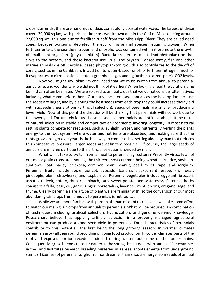crops. Currently, there are hundreds of dead zones along coastal waterways. The largest of these covers 70,000 sq km, with perhaps the most well known one in the Gulf of Mexico being around 22,000 sq km, this one due to fertilizer runoff from the Mississippi River. They are called dead zones because oxygen is depleted, thereby killing animal species requiring oxygen. When fertilizer enters the sea the nitrogen and phosphorous contained within it promote the growth of small plant organisms (phytoplankton). Bacteria proliferate to eat dead phytoplankton that sinks to the bottom, and these bacteria use up all the oxygen. Consequently, fish and other marine animals die off. Fertilizer based phytoplankton growth also contributes to the die off of corals, such as in the Caribbean. In addition to water-based runoff of fertilizer nitrogen, much of it evaporates to nitrous oxide, a potent greenhouse gas adding further to atmospheric CO2 levels.

Now you might say, okay I'm convinced that we must switch from annual to perennial agriculture, and wonder why we did not think of it earlier? When looking ahead the solution lying behind can often be missed. We are so used to annual crops that we do not consider alternatives, including what came before them. Our early ancestors saw annuals as the best option because the seeds are larger, and by planting the best seeds from each crop they could increase their yield with succeeding generations (artificial selection). Seeds of perennials are smaller producing a lower yield. Now at this point the skeptics will be thinking that perennials will not work due to the lower yield. Fortunately for us, the small seeds of perennials are not inevitable, but the result of natural selection in stable and competitive environments favoring longevity. In most natural setting plants compete for resources, such as sunlight, water, and nutrients. Diverting the plants energy to the root system where water and nutrients are absorbed, and making sure that the roots grow stronger over years is the best way to compete. In a setting aided by man that reduces this competitive pressure, larger seeds are definitely possible. Of course, the large seeds of annuals are in large part due to the artificial selection provided by man.

What will it take to switch from annual to perennial agriculture? Presently virtually all of our major grain crops are annuals, the thirteen most common being wheat, corn, rice, soybean, sunflower, oat, barley, chickpea, common bean, peanut, pearl millet, rape, and sorghum. Perennial fruits include apple, apricot, avocado, banana, blackcurrant, grape, kiwi, pear, pineapple, plum, strawberry, and raspberries. Perennial vegetables include eggplant, broccoli, asparagus, leek, potato, rhubarb, spinach, taro, sweet potato, and watercress. Perennial herbs consist of alfalfa, basil, dill, garlic, ginger, horseradish, lavender, mint, onions, oregano, sage, and thyme. Clearly perennials are a type of plant we are familiar with, so the conversion of our most abundant grain crops from annuals to perennials is not radical.

While we are more familiar with perennials than most of us realize, it will take some effort to switch our main grain crops from annuals to perennials. What will be required is a combination of techniques, including artificial selection, hybridization, and genome derived knowledge. Researchers believe that applying artificial selection in a properly managed agricultural environment can produce a good seed yield in perennials. Four characteristics of perennials contribute to this potential, the first being the long growing season. In warmer climates perennials grow all year round providing ongoing food production. In colder climates parts of the root and exposed portion recede or die off during winter, but some of the root remains. Consequently, growth tends to occur earlier in the spring than it does with annuals. For example, in the Land Institutes research breeding nurseries in Kansas, shoots emerge from underground stems (rhizomes) of perennial sorghum a month earlier than shoots emerge from seeds of annual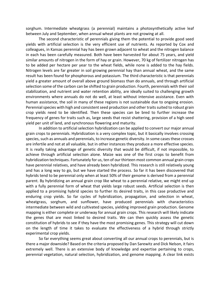sorghum. Intermediate wheatgrass (a perennial) maintains a photosynthetically active leaf between July and September, when annual wheat plants are not growing at all.

The second characteristic of perennials giving them the potential to provide good seed yields with artificial selection is the very efficient use of nutrients. As reported by Cox and colleagues, in Kansas perennial hay has been grown adjacent to wheat and the nitrogen balance in each has been carefully measured. Both have been harvested for about 75 years, and yield similar amounts of nitrogen in the form of hay or grain. However, 70 kg of fertilizer nitrogen has to be added per hectare per year to the wheat fields, while none is added to the hay fields. Nitrogen levels are far greater in soil growing perennial hay than annual wheat, and the same result has been found for phosphorous and potassium. The third characteristic is that perennials yield a greater amount of overall above ground biomass than do annuals, and through artificial selection some of the carbon can be shifted to grain production. Fourth, perennials with their soil stabilization, and nutrient and water retention ability, are ideally suited to challenging growth environments where annuals do not do well, at least without intensive assistance. Even with human assistance, the soil in many of these regions is not sustainable due to ongoing erosion. Perennial species with high and consistent seed production and other traits suited to robust grain crop yields need to be identified. Then these species can be bred to further increase the frequency of genes for traits such as, large seeds that resist shattering, provision of a high seed yield per unit of land, and synchronous flowering and maturity.

In addition to artificial selection hybridization can be applied to convert our major annual grain crops to perennials. Hybridization is a very complex topic, but it basically involves crossing species, such as annuals and perennials, to increase genetic diversity. In some cases these crosses are infertile and not at all valuable, but in other instances they produce a more effective species. It is really taking advantage of genetic diversity that would be difficult, if not impossible, to achieve through artificial selection alone. Maize was one of the first crops to benefit from hybridization techniques. Fortunately for us, ten of our thirteen most common annual grain crops have perennial relatives, and have already been hybridized. This research is still relatively young and has a long way to go, but we have started the process. So far it has been discovered that hybrids tend to be perennial only when at least 50% of their genome is derived from a perennial parent. By hybridizing an annual grain crop like wheat to a perennial relative, we might end up with a fully perennial form of wheat that yields large robust seeds. Artificial selection is then applied to a promising hybrid species to further its desired traits, in this case productive and enduring crop yields. So far cycles of hybridization, propagation, and selection in wheat, wheatgrass, sorghum, and sunflower, have produced perennials with characteristics intermediate between wild and cultivated species, yielding improved grain production. Genome mapping is either complete or underway for annual grain crops. This research will likely indicate the genes that are most linked to desired traits. We can then quickly assess the genetic constitution of hybrids to see if they have the most promising genes. This strategy will cut down on the length of time it takes to evaluate the effectiveness of a hybrid through strictly experimental crop yields.

So far everything seems great about converting all our annual crops to perennials, but is there a major downside? Based on the criteria proposed by Dan Sarewitz and Dick Nelson, it fairs extremely well. There is an extensive body of knowledge and expertise pertaining to crops, perennial vegetation, natural selection, hybridization, and genome mapping. A clear link exists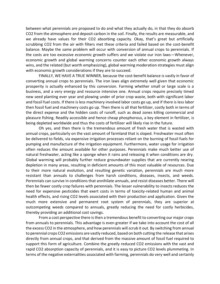between what perennials are proposed to do and what they actually do, in that they do absorb CO2 from the atmosphere and deposit carbon in the soil. Finally, the results are measurable, and we already have values for their CO2 absorbing capacity. Okay, that's great but artificially scrubbing CO2 from the air with filters met these criteria and failed based on the cost-benefit balance. Maybe the same problem will occur with conversion of annual crops to perennials. If the costs are too excessive economic growth suffers and we violate our iron laws—Whenever, economic growth and global warming concerns counter each other economic growth always wins, and the related (but worth emphasizing), global warming moderation strategies must align with economic growth considerations if they are to succeed.

FINALLY, WE HAVE A TRUE WINNER, because the cost-benefit balance is vastly in favor of converting annual crops to perennials. The iron laws align extremely well given that economic prosperity is actually enhanced by this conversion. Farming whether small or large scale is a business, and a very energy and resource intensive one. Annual crops require precisely timed new seed planting ever year and plowing under of prior crop waste, both with significant labor and fossil fuel costs. If there is less machinery involved labor costs go up, and if there is less labor then fossil fuel and machinery costs go up. Then there is all that fertilizer, costly both in terms of the direct expense and the hidden costs of runoff, such as dead zones killing commercial and pleasure fishing. Readily accessible and hence cheap phosphorous, a key element in fertilizer, is being depleted worldwide and thus the costs of fertilizer will likely rise in the future.

Oh yes, and then there is the tremendous amount of fresh water that is wasted with annual crops, particularly on the vast amount of farmland that is sloped. Freshwater must often be delivered to fields, via expensive irrigation processes reliant on the burning of fossil fuels for pumping and manufacture of the irrigation equipment. Furthermore, water usage for irrigation often reduces the amount available for other purposes. Perennials make much better use of natural freshwater, acting like a sponge when it rains and releasing it when conditions are dry. Global warming will probably further reduce groundwater supplies that are currently nearing depletion in many areas, resulting in deficient amounts of this most valuable of resources. Due to their more natural evolution, and resulting genetic variation, perennials are much more resistant than annuals to challenges from harsh conditions, diseases, insects, and weeds. Perennials can survive in conditions that annihilate annuals, and resist diseases better. There will then be fewer costly crop failures with perennials. The lesser vulnerability to insects reduces the need for expensive pesticides that exert costs in terms of toxicity-related human and animal health effects, and rising CO2 levels associated with their production and application. Given the much more extensive and permanent root system of perennials, they are superior at outcompeting weeds compared to annuals, greatly reducing the need for costly herbicides, thereby providing an additional cost savings.

From a cost perspective there is then a tremendous benefit to converting our major crops from annuals to perennials. This advantage is even greater if we take into account the cost of all the excess CO2 in the atmosphere, and how perennials will scrub it out. By switching from annual to perennial crops CO2 emissions are vastly reduced, based on both cutting the release that arises directly from annual crops, and that derived from the massive amount of fossil fuel required to support this form of agriculture. Combine the greatly reduced CO2 emissions with the vast and rapid CO2 absorption capacity of perennials, and it is easy to picture CO2 levels plummeting. In terms of the negative externalities associated with farming, perennials do very well and certainly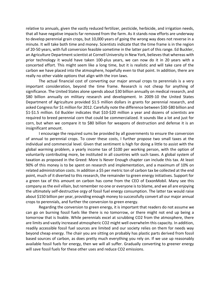relative to annuals, given the vastly reduced fertilizer, pesticide, herbicide, and irrigation needs, that all have negative impacts far removed from the farm. As it stands now efforts are underway to develop perennial grain crops, but 10,000 years of going the wrong way does not reverse in a minute. It will take both time and money. Scientists indicate that the time frame is in the region of 20-50 years, with full conversion feasible sometime in the latter part of this range. Ed Buckler, an Agriculture Department scientist at Cornell University in New York, believes that whereas with prior technology it would have taken 100-plus years, we can now do it in 20 years with a concerted effort. This might seem like a long time, but it is realistic and will take care of the carbon we have placed into the atmosphere, hopefully even to that point. In addition, there are really no other viable options that align with the iron laws.

The actual financial cost of converting our major annual crops to perennials is a very important consideration, beyond the time frame. Research is not cheap for anything of significance. The United States alone spends about \$30 billion annually on medical research, and \$80 billion annually on military research and development. In 2009-10 the United States Department of Agriculture provided \$1.5 million dollars in grants for perennial research, and asked Congress for \$1 million for 2012. Carefully note the difference between \$30-\$80 billion and \$1-\$1.5 million. Ed Buckler indicates that \$10-\$20 million a year and dozens of scientists are required to breed perennial corn that could be commercialized. It sounds like a lot and just for corn, but when we compare it to \$80 billion for weapons of destruction and defense it is an insignificant amount.

I encourage the required sums be provided by all governments to ensure the conversion of annual to perennial crops. To cover these costs, I further propose two small taxes at the individual and commercial level. Given that sentiment is high for doing a little to assist with the global warming problem, a yearly income tax of \$100 per working person, with the option of voluntarily contributing more, be instituted in all countries with such taxes. A global system of taxation as proposed in the Greed: More Is Never Enough chapter can include this tax. At least 90% of this money is to be spent on research and implementation, and a maximum of 10% on related administration costs. In addition a \$5 per metric ton of carbon tax be collected at the end point, much of it diverted to this research, the remainder to green energy initiatives. Support for a green tax of this amount on carbon has come from the CEO of ExxonMobil. Many see this company as the evil villain, but remember no one or everyone is to blame, and we all are enjoying the ultimately self-destructive orgy of fossil fuel energy consumption. The latter tax would raise about \$150 billion per year, providing enough money to successfully convert all our major annual crops to perennials, and further the conversion to green energy.

Regarding the conversion to green energy, it is important that readers do not assume we can go on burning fossil fuels like there is no tomorrow, or there might not end up being a tomorrow that is livable. While perennials excel at scrubbing CO2 from the atmosphere, there are limits and vastly increased atmospheric CO2 might well overwhelm this capacity. In addition, readily accessible fossil fuel sources are limited and our society relies on them for needs way beyond cheap energy. The chair you are sitting on probably has plastic parts derived from fossil based sources of carbon, as does pretty much everything you rely on. If we use up reasonably available fossil fuels for energy, then we will all suffer. Gradually converting to greener energy will save fossil fuels for these other uses and reduce CO2 emissions.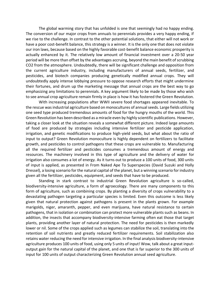The global warming story that has unfolded is one that seemingly had no happy ending. The conversion of our major crops from annuals to perennials provides a very happy ending, if we rise to the challenge. In contrast to the other potential solutions, that either will not work or have a poor cost-benefit balance, this strategy is a winner. It is the only one that does not violate our iron laws, because based on the highly favorable cost-benefit balance economic prosperity is actually enhanced by it. The relatively low amount of financial investment over a 20-50 year period will be more than offset by the advantages accruing, beyond the main benefit of scrubbing CO2 from the atmosphere. Undoubtedly, there will be significant challenge and opposition from the current agriculture industry, including manufacturers of annual seeds, fertilizer, and pesticides, and biotech companies producing genetically modified annual crops. They will undoubtedly apply intense lobbying pressure to oppose research efforts that might undermine their fortunes, and drum up the marketing message that annual crops are the best way to go emphasizing any limitations to perennials. A key argument likely to be made by those who wish to see annual crop agriculture remain firmly in place is how it has fostered the Green Revolution.

With increasing populations after WWII severe food shortages appeared inevitable. To the rescue was industrial agriculture based on monocultures of annual seeds. Large fields utilizing one seed type produced tremendous amounts of food for the hungry mouths of the world. This Green Revolution has been described as a miracle even by highly scientific publications. However, taking a closer look at the situation reveals a somewhat different picture. Indeed large amounts of food are produced by strategies including intensive fertilizer and pesticide application, irrigation, and genetic modifications to produce high-yield seeds, but what about the ratio of input to output? Green Revolution monoculture is highly dependent on fertilizers to facilitate growth, and pesticides to control pathogens that these crops are vulnerable to. Manufacturing all the required fertilizer and pesticides consumes a tremendous amount of energy and resources. The machinery involved in this type of agriculture and the delivery of water for irrigation also consumes a lot of energy. As it turns out to produce a 100 units of food, 300 units of input is applied, as presented in From Naked Ape To Superspecies (David Suzuki and Holly Dressel), a losing scenario for the natural capital of the planet, but a winning scenario for industry given all the fertilizer, pesticides, equipment, and seeds that have to be produced.

Standing in stark contrast to industrial Green Revolution agriculture is so-called, biodiversity-intensive agriculture, a form of agroecology. There are many components to this form of agriculture, such as combining crops. By planting a diversity of crops vulnerability to a devastating pathogen targeting a particular species is limited. Even this outcome is less likely given that natural protection against pathogens is present in the plants grown. For example marigolds, niger, amaranth, pepper, and even marijuana, have natural resistance to certain pathogens, that in isolation or combination can protect more vulnerable plants such as beans. In addition, the insects that accompany biodiversity-intensive farming often eat those that target plants, providing another layer of natural protection. The need for pesticides is then markedly lower or nil. Some of the crops applied such as legumes can stabilize the soil, translating into the retention of soil nutrients and greatly reduced fertilizer requirements. Soil stabilization also retains water reducing the need for intensive irrigation. In the final analysis biodiversity-intensive agriculture produces 100 units of food, using only 5 units of input! Wow, talk about a great inputoutput gain for the natural capital of the planet, and one that is far superior to the 300 units of input for 100 units of output characterizing Green Revolution annual seed agriculture.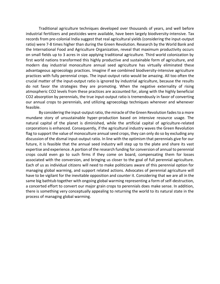Traditional agriculture techniques developed over thousands of years, and well before industrial fertilizers and pesticides were available, have been largely biodiversity-intensive. Tax records from pre-colonial India suggest that real agricultural yields (considering the input-output ratio) were 7-8 times higher than during the Green Revolution. Research by the World Bank and the International Food and Agriculture Organization, reveal that maximum productivity occurs on small fields up to 3 acres in size applying traditional agriculture. Third world colonization by first world nations transformed this highly productive and sustainable form of agriculture, and modern day industrial monoculture annual seed agriculture has virtually eliminated these advantageous agroecology practices. Imagine if we combined biodiversity-intensive agriculture practices with fully perennial crops. The input-output ratio would be amazing. All too often the crucial matter of the input-output ratio is ignored by industrial agriculture, because the results do not favor the strategies they are promoting. When the negative externality of rising atmospheric CO2 levels from these practices are accounted for, along with the highly beneficial CO2 absorption by perennials, the true input-output ratio is tremendously in favor of converting our annual crops to perennials, and utilizing agroecology techniques wherever and whenever feasible.

By considering the input-output ratio, the miracle of the Green Revolution fades to a more mundane story of unsustainable hyper-production based on intensive resource usage. The natural capital of the planet is diminished, while the artificial capital of agriculture-related corporations is enhanced. Consequently, if the agricultural industry waves the Green Revolution flag to support the value of monoculture annual seed crops, they can only do so by excluding any discussion of the dismal input-output ratio. In line with the optimism that perennials give for our future, it is feasible that the annual seed industry will step up to the plate and share its vast expertise and experience. A portion of the research funding for conversion of annual to perennial crops could even go to such firms if they come on board, compensating them for losses associated with the conversion, and bringing us closer to the goal of full perennial agriculture. Each of us as individual citizens will need to make politicians aware of this perennial option for managing global warming, and support related actions. Advocates of perennial agriculture will have to be vigilant for the inevitable opposition and counter it. Considering that we are all in the same big bathtub together with ongoing global warming representing a form of self-destruction, a concerted effort to convert our major grain crops to perennials does make sense. In addition, there is something very conceptually appealing to returning the world to its natural state in the process of managing global warming.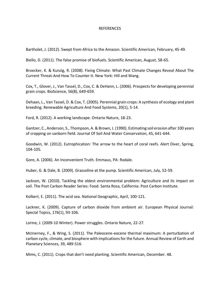### REFERENCES

Bartholet, J. (2012). Swept from Africa to the Amazon. Scientific American, February, 45-49.

Biello, D. (2011). The false promise of biofuels. Scientific American, August, 58-65.

Broecker, K. & Kunzig, R. (2008). Fixing Climate: What Past Climate Changes Reveal About The Current Threat-And How To Counter It. New York: Hill and Wang.

Cox, T., Glover, J., Van Tassel, D., Cox, C. & DeHann, L. (2006). Prospects for developing perennial grain crops. BioScience, 56(8), 649-659.

Dehaan, L., Van Tassel, D. & Cox, T. (2005). Perennial grain crops: A synthesis of ecology and plant breeding. Renewable Agriculture And Food Systems, 20(1), 5-14.

Ford, R. (2012). A working landscape. Ontario Nature, 18-23.

Gantzer, C., Anderson, S., Thompson, A. & Brown, J. (1990). Estimating soil erosion after 100 years of cropping on sanborn field. Journal Of Soil And Water Conservation, 45, 641-644.

Goodwin, W. (2012). Eutrophication: The arrow to the heart of coral reefs. Alert Diver, Spring, 104-105.

Gore, A. (2006). An Inconvenient Truth. Emmaus, PA: Rodale.

Huber, G. & Dale, B. (2009). Grassoline at the pump. Scientific American, July, 52-59.

Jackson, W. (2010). Tackling the oldest environmental problem: Agriculture and its impact on soil. The Post Carbon Reader Series: Food. Santa Rosa, California: Post Carbon Institute.

Kolbert, E. (2011). The acid sea. National Geographic, April, 100-121.

Lackner, K. (2009). Capture of carbon dioxide from ambient air. European Physical Journal: Special Topics, 176(1), 93-106.

Lorine, J. (2009-10 Winter). Power struggles. Ontario Nature, 22-27.

McInerney, F., & Wing, S. (2011). The Paleocene-eocene thermal maximum: A perturbation of carbon cycle, climate, and biosphere with implications for the future. Annual Review of Earth and Planetary Sciences, 39, 489-516.

Mims, C. (2011). Crops that don't need planting. Scientific American, December. 48.